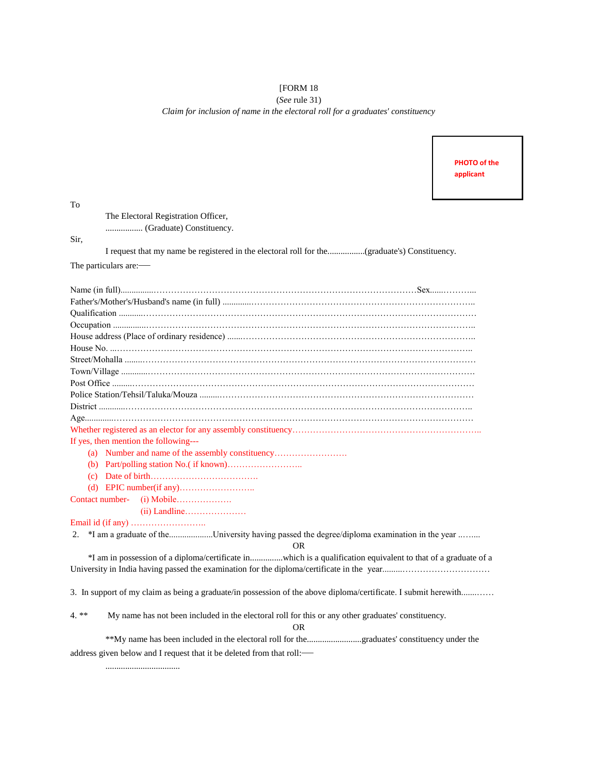## [FORM 18

(*See* rule 31)

*Claim for inclusion of name in the electoral roll for a graduates' constituency*

To The Electoral Registration Officer, ................. (Graduate) Constituency. Sir, I request that my name be registered in the electoral roll for the.................(graduate's) Constituency. The particulars are:— Name (in full)...............………………………………………………………………………………Sex......………... Father's/Mother's/Husband's name (in full) .............………………………………………………………………….. Qualification ...........…………………………………………………………………………………………………… Occupation ...............………………………………………………………………………………………………….. House address (Place of ordinary residence) .......…………………………………………………………………….. House No. ...………………………………………………………………………………………………………….. Street/Mohalla ........…………………………………………………………………………………………………… Town/Village ............…………………………………………………………………………………………………. Post Office .........……………………………………………………………………………………………………… Police Station/Tehsil/Taluka/Mouza .........…………………………………………………………………………… District ............……………………………………………………………………………………………………….. Age.............…………………………………………………………………………………………………………… Whether registered as an elector for any assembly constituency………………………………………………… If yes, then mention the following--- (a) Number and name of the assembly constituency……………………. (b) Part/polling station No.( if known)…………………….. (c) Date of birth………………………………. (d) EPIC number(if any)…………………….. Contact number- (i) Mobile………………. (ii) Landline………………… Email id (if any) …………………….. 2. \*I am a graduate of the.....................University having passed the degree/diploma examination in the year ......... OR \*I am in possession of a diploma/certificate in...............which is a qualification equivalent to that of a graduate of a University in India having passed the examination for the diploma/certificate in the year.........………………………… 3. In support of my claim as being a graduate/in possession of the above diploma/certificate. I submit herewith.......…… 4. \*\* My name has not been included in the electoral roll for this or any other graduates' constituency. OR \*\*My name has been included in the electoral roll for the.........................graduates' constituency under the address given below and I request that it be deleted from that roll:— .................................. **PHOTO of the applicant**